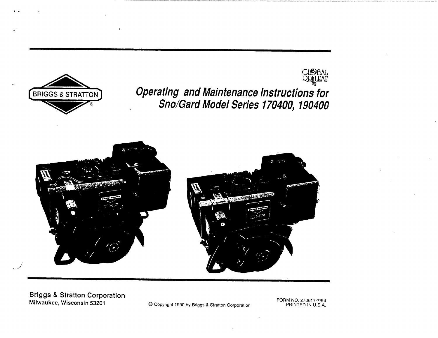

**Briggs & Stratton Corporation** Milwaukee, Wisconsin 53201

© Copyright 1990 by Briggs & Stratton Corporation

FORM NO. 270617-7/94<br>PRINTED IN U.S.A.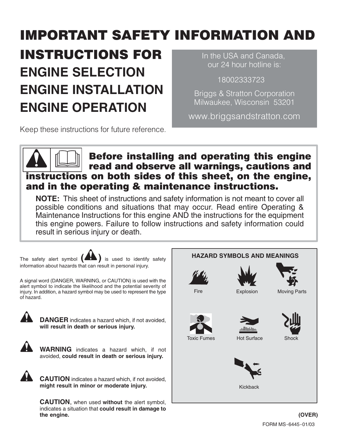# **IMPORTANT SAFETY INFORMATION AND**

# **INSTRUCTIONS FOR ENGINE SELECTION ENGINE INSTALLATION ENGINE OPERATION**

In the USA and Canada, our 24 hour hotline is:

18002333723

**Briggs & Stratton Corporation** Milwaukee, Wisconsin 53201

www.briggsandstratton.com

Keep these instructions for future reference.

## **Before installing and operating this engine** read and observe all warnings, cautions and instructions on both sides of this sheet, on the engine, and in the operating & maintenance instructions.

NOTE: This sheet of instructions and safety information is not meant to cover all possible conditions and situations that may occur. Read entire Operating & Maintenance Instructions for this engine AND the instructions for the equipment this engine powers. Failure to follow instructions and safety information could result in serious injury or death.

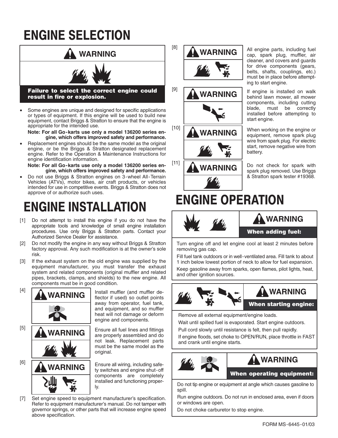# **ENGINE SELECTION**



Some engines are unique and designed for specific applications  $\bullet$ or types of equipment. If this engine will be used to build new equipment, contact Briggs & Stratton to ensure that the engine is appropriate for the intended use.

Note: For all Go-karts use only a model 136200 series engine, which offers improved safety and performance.

Replacement engines should be the same model as the original engine, or be the Briggs & Stratton designated replacement engine. Refer to the Operation & Maintenance Instructions for engine identification information.

Note: For all Go-karts use only a model 136200 series engine, which offers improved safety and performance.

Do not use Briggs & Stratton engines on 3-wheel All-Terrain Vehicles (ATVs), motor bikes, air craft products, or vehicles intended for use in competitive events. Briggs & Stratton does not approve of or authorize such uses.

# **ENGINE INSTALLATION**

- [1] Do not attempt to install this engine if you do not have the appropriate tools and knowledge of small engine installation procedures. Use only Briggs & Stratton parts. Contact your Authorized Service Dealer for assistance.
- Do not modify the engine in any way without Briggs & Stratton  $\lceil 2 \rceil$ factory approval. Any such modification is at the owner's sole risk.
- If the exhaust system on the old engine was supplied by the  $[3]$ equipment manufacturer, you must transfer the exhaust system and related components (original muffler and related pipes, brackets, clamps, and shields) to the new engine. All components must be in good condition.



flector if used) so outlet points away from operator, fuel tank, and equipment, and so muffler heat will not damage or deform engine and components.

Ensure all fuel lines and fittings are properly assembled and do not leak. Replacement parts must be the same model as the

Ensure all wiring, including safety switches and engine shut-off components are completely installed and functioning proper-

Set engine speed to equipment manufacturer's specification.  $[7]$ Refer to equipment manufacturer's manual. Do not tamper with governor springs, or other parts that will increase engine speed above specification.



All engine parts, including fuel cap, spark plug, muffler, air cleaner, and covers and guards for drive components (gears, belts, shafts, couplings, etc.) must be in place before attempting to start engine.

If engine is installed on walk behind lawn mower, all mower components, including cutting must be correctly blade. installed before attempting to start engine.

When working on the engine or equipment, remove spark plug wire from spark plug. For electric start, remove negative wire from battery.

Do not check for spark with spark plug removed. Use Briggs & Stratton spark tester #19368.

# **ENGINE OPERATION**



## **WARNING**

### **When adding fuel:**

Turn engine off and let engine cool at least 2 minutes before removing gas cap.

Fill fuel tank outdoors or in well-ventilated area. Fill tank to about 1 inch below lowest portion of neck to allow for fuel expansion. Keep gasoline away from sparks, open flames, pilot lights, heat, and other ignition sources.



## **WARNING**

**When starting engine:** 

Remove all external equipment/engine loads.

Wait until spilled fuel is evaporated. Start engine outdoors. Pull cord slowly until resistance is felt, then pull rapidly.

If engine floods, set choke to OPEN/RUN, place throttle in FAST and crank until engine starts.



## **WARNING**

**When operating equipment:** 

Do not tip engine or equipment at angle which causes gasoline to spill.

Run engine outdoors. Do not run in enclosed area, even if doors or windows are open.

Do not choke carburetor to stop engine.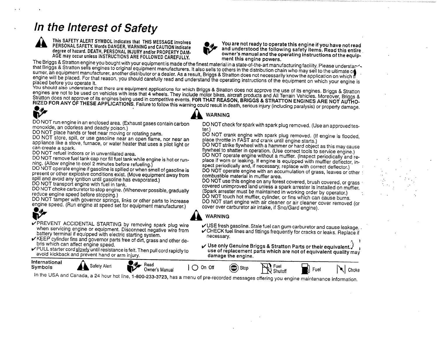## In the Interest of Safety

This SAFETY ALERT SYMBOL indicates that THIS MESSAGE involves PERSONAL SAFETY. Words DANGER, WARNING and CAUTION indicate degree of hazard. DEATH, PERSONAL INJURY and/or PROPERTY DAM-AGE may occur unless INSTRUCTIONS ARE FOLLOWED CAREFULLY.



You are not ready to operate this engine if you have not read and understood the following safety items. Read this entire owner's manual and the operating instructions of the equipment this engine powers.

The Briggs & Stratton engine you bought with your equipment is made of the finest material in a state-of-the-art manufacturing facility. Please understands that Briggs & Stratton sells engines to original equipment manufacturers. It also sells to others in the distribution chain who may sell to the ultimate of sumer, an equipment manufacturer, another distributor or a dealer. As a result, Briggs & Stratton does not necessarily know the application on which if engine will be placed. For that reason, you should carefully read and understand the operating instructions of the equipment on which your engine is placed before you operate it.

You should also understand that there are equipment applications for which Briggs & Stratton does not approve the use of its engines. Briggs & Stratton engines are not to be used on vehicles with less that 4 wheels. They include motor bikes, aircraft products and All Terrain Vehicles. Moreover, Briggs & Stratton does not approve of its engines being used in competitive events. FOR THAT REASON, BRIGGS & STRATTON ENGINES ARE NOT AUTHO-RIZED FOR ANY OF THESE APPLICATIONS. Failure to follow this warning could result in death, serious injury (including paralysis) or property damage.



DO NOT run engine in an enclosed area. (Exhaust gases contain carbon monoxide, an odorless and deadly poison.)

DO NOT place hands or feet near moving or rotating parts.

DO NOT store, spill, or use gasoline near an open flame, nor near an appliance like a stove, furnace, or water heater that uses a pilot light or can create a spark.

DO NOT refuel indoors or in unventilated area.

DO NOT remove fuel tank cap nor fill fuel tank while engine is hot or running. (Allow engine to cool 2 minutes before refueling.)

DO NOT operate engine if gasoline is spilled or when smell of gasoline is present or other explosive conditions exist. (Move equipment away from spill and avoid any ignition until gasoline has evaporated.)

DO NOT transport engine with fuel in tank.

DO NOT choke carburetor to stop engine. (Whenever possible, gradually reduce engine speed before stopping.)

DO NOT tamper with governor springs, links or other parts to increase engine speed. (Run engine at speed set for equipment manufacturer.)



- PREVENT ACCIDENTAL STARTING by removing spark plug wire when servicing engine or equipment. Disconnect negative wire from battery terminal if equipped with electric starting system.
- KEEP cylinder fins and governor parts free of dirt, grass and other debris which can affect engine speed.
- ✔PULL starter cord slowly until resistance is felt. Then pull cord rapidly to avoid kickback and prevent hand or arm injury.



DO NOT check for spark with spark plug removed. (Use an approved tes-

DO NOT crank engine with spark plug removed. (If engine is flooded. place throttle in FAST and crank until engine starts.)

DO NOT strike flywheel with a hammer or hard object as this may cause flywheel to shatter in operation. (Use correct tools to service engine.) DO NOT operate engine without a muffler. (Inspect periodically and replace if worn or leaking. If engine is equipped with muffler deflector, inspect periodically and, if necessary, replace with correct deflector.) DO NOT operate engine with an accumulation of grass, leaves or other combustible material in muffler area.

DO NOT use this engine on any forest covered, brush covered, or grass covered unimproved land unless a spark arrester is installed on muffler. (Spark arrester must be maintained in working order by operator.) DO NOT touch hot muffler, cylinder, or fins which can cause burns. DO NOT start engine with air cleaner or air cleaner cover removed (or cover over carburetor air intake, if Sno/Gard engine).

## **WARNING**

- USE fresh gasoline. Stale fuel can gum carburetor and cause leakage. CHECK fuel lines and fittings frequently for cracks or leaks. Replace if necessary.
- Use only Genuine Briggs & Stratton Parts or their equivalent; use of replacement parts which are not of equivalent quality may damage the engine.

| International<br>Symbols | Alert<br>Safety | Ø.<br>Head<br>Owner's Manual | $\cap''$<br>On Oh | $^{\backprime}$ Stop<br>l sor l<br>- | ---<br>Fuel<br>$\overline{\phantom{a}}$<br>Shutofi<br>שו | Fuel<br>н | $\sim$<br>Choke |
|--------------------------|-----------------|------------------------------|-------------------|--------------------------------------|----------------------------------------------------------|-----------|-----------------|
| In the HOR and P223 1.21 |                 |                              |                   | ∽                                    |                                                          |           |                 |

In the USA and Canada, a 24 hour hot line, 1-800-233-3723, has a menu of pre-recorded messages offering you engine maintenance information.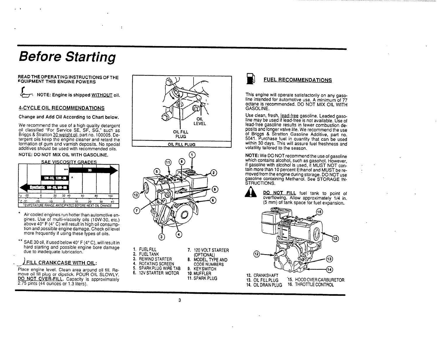## **Before Starting**

#### READ THE OPERATING INSTRUCTIONS OF THE **FQUIPMENT THIS ENGINE POWERS**

NOTE: Engine is shipped WITHOUT oil.

#### **4-CYCLE OIL RECOMMENDATIONS**

Change and Add Oil According to Chart below.

We recommend the use of a high quality detergent oil classified "For Service SE, SF, SG," such as<br>Briggs & Stratton 30 weight oil, part no. 100005. Detergent oils keep the engine cleaner and retard the formation of gum and varnish deposits. No special additives should be used with recommended oils.

#### NOTE: DO NOT MIX OIL WITH GASOLINE.

|        |       | <u>SAE VISCOSITY GRADES</u> |       |    |    |          |     |  |
|--------|-------|-----------------------------|-------|----|----|----------|-----|--|
|        |       |                             | **    |    |    | 30       |     |  |
|        |       | 59-30, 109-30               |       |    |    |          |     |  |
|        |       | watche su-zu su-a           |       |    |    |          |     |  |
| $-20$  |       | 20                          | 32 40 |    | 60 | 80       | 100 |  |
| C - 30 | $-20$ | .10                         |       | 10 |    | 30<br>20 | 49  |  |

- Air cooled engines run hotter than automotive engines. Use of multi-viscosity oils (10W-30, etc.) above 40° F (4° C) will result in high oil consumption and possible engine damage. Check oil level more frequently if using these types of oils.
- \*\* SAE 30 oil, if used below 40° F (4°C), will result in hard starting and possible engine bore damage due to inadequate lubrication.

### FILL CRANKCASE WITH OIL:

Place engine level. Clean area around oil fill. Remove oil fill plug or dipstick. POUR OIL SLOWLY. DO NOT OVER-FILL. Capacity is approximately 2.75 pints (44 ounces or 1.3 liters).



OIL FILL PLUG



2. FUEL TANK 3. REWIND STARTER ROTATING SCREEN

4.

**CODE NUMBERS** 5. SPARK PLUG WIRE TAB 9. KEYSWITCH 6. 12V STARTER MOTOR 10. MUFFLER **11. SPARK PLUG** 

(OPTIONAL)

8. MODEL, TYPE AND



### **FUEL RECOMMENDATIONS**

This engine will operate satisfactorily on any gasoline intended for automotive use. A minimum of 77 octane is recommended. DO NOT MIX OIL WITH GASOLINE.

Use clean, fresh, lead-free gasoline. Leaded gasoline may be used if lead-free is not available. Use of lead-free gasoline results in fewer combustion deposits and longer valve life. We recommend the use of Briggs & Stratton Gasoline Additive, part no. 5041. Purchase fuel in quantity that can be used within 30 days. This will assure fuel freshness and volatility tailored to the season.

NOTE: We DO NOT recommend the use of gasoline which contains alcohol, such as gasohol. However, if gasoline with alcohol is used, if MUST NOT contain more than 10 percent Ethanol and MUST be removed from the engine during storage. DO NOT use<br>gasoline containing Methanol. See STORAGE IN-**ŠTRUCTIONS.** 

| DO N    |  |
|---------|--|
| overflo |  |
|         |  |

OT FILL fuel tank to point of wing. Allow approximately 1/4 in. (5 mm) of tank space for fuel expansion.



16. THROTTLE CONTROL 14. OIL DRAIN PLUG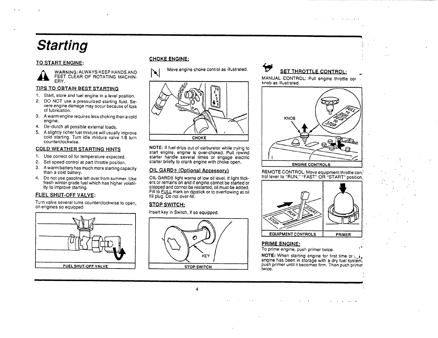# **Starting**

#### TO START ENGINE:

WARNING: ALWAYS KEEP HANDS AND FEET CLEAR OF ROTATING MACHIN-ERY.

#### **TIPS TO OBTAIN BEST STARTING**

- 1. Start, store and fuel engine in a level position.
- 2. DO NOT use a pressurized starting fluid. Severe engine damage may occur because of loss of lubrication.
- 3. A warm engine requires less choking than a cold engine.
- 4. De-clutch all possible external loads.
- 5. A slightly richer fuel mixture will usually improve cold starting. Turn idle mixture valve 1/8 turn counterclockwise.

#### **COLD WEATHER STARTING HINTS**

- 1. Use correct oil for temperature expected.
- 2. Set speed control at part throttle position.
- 3. A warm battery has much more starting capacity than a cold battery.
- 4. Do not use gasoline left over from summer, Use fresh winter grade fuel which has higher volatility to improve starting.

### **FUEL SHUT-OFF VALVE:**

Turn valve several turns counterclockwise to open, on engines so equipped



#### **CHOKE ENGINE:**

Move engine choke control as illustrated.  $\blacktriangleright$ 



NOTE: If fuel drips out of carburetor while trying to start engine, engine is over-choked. Pull rewind starter handle several times or engage electric starter briefly to crank engine with choke open.

### **OIL GARD® (Optional Accessory)**

OIL GARD® light warns of low oil level. If light flickers or remains on and if engine cannot be started or stopped and connot be restarted, oil must be added. Fill to FULL mark on dipstick or to overflowing at oil fill plug. Do not over-fill.

#### **STOP SWITCH:**

Insert key in Switch, if so equipped.



 $\overline{4}$ 

## **SET THROTTLE CONTROL:**

**Contract Contract** 

MANUAL CONTROL: Pull engine throttle cor knob as illustrated.



#### REMOTE CONTROL: Move equipment throttle control lever to "RUN." "FAST" OR "START" position.



#### PRIME ENGINE:

To prime engine, push primer twice.

NOTE: When starting engine for first time or  $\cup$ . engine has been in storage with a dry fuel system, push primer until it becomes firm. Then push primer twice.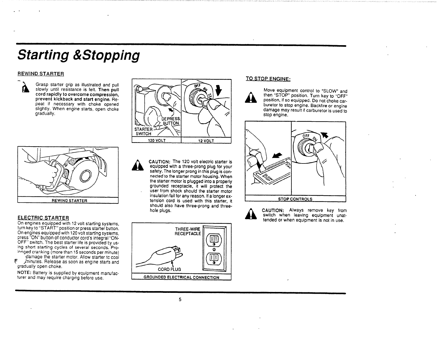# **Starting &Stopping**

#### **REWIND STARTER**



Grasp starter grip as illustrated and pull slowly until resistance is felt. Then pull cord rapidly to overcome compression. prevent kickback and start engine. Repeat if necessary with choke opened slightly. When engine starts, open choke gradually.



#### **ELECTRIC STARTER**

On engines equipped with 12 volt starting systems, turn key to "START" position or press starter button. On engines equipped with 120 volt starting systems, press "ON" button of conductor cord's integral "ON-OFF" switch. The best starter life is provided by using short starting cycles of several seconds. Pro-Innged cranking (more than 15 seconds per minute) damage the starter motor. Allow starter to cool

F minutes. Release as soon as engine starts and gradually open choke.

NOTE: Battery is supplied by equipment manufacturer and may require charging before use.



CAUTION: The 120 volt electric starter is equipped with a three-prong plug for your safety. The longer prong in this plug is connected to the starter motor housing. When the starter motor is plugged into a properly grounded receptacle, it will protect the user from shock should the starter motor insulation fail for any reason. If a longer extension cord is used with this starter, it should also have three-prong and threehole pluas.



#### TO STOP ENGINE:

Move equipment control to "SLOW" and then "STOP" position. Turn key to "OFF" position, if so equipped. Do not choke carburetor to stop engine. Backfire or engine damage may result if carburetor is used to stop engine.





CAUTION: Always remove key from switch when leaving equipment unattended or when equipment is not in use.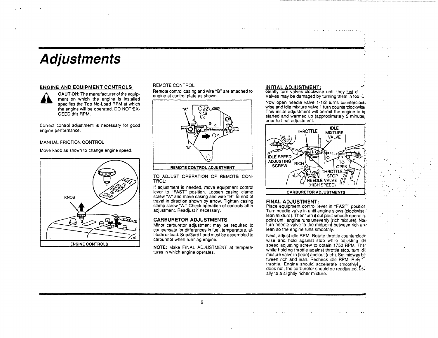## **Adjustments**

#### ENGINE AND EQUIPMENT CONTROLS



CAUTION: The manufacturer of the equipment on which the engine is installed specifies the Top No-Load RPM at which the engine will be operated. DO NOT EX-CEED this RPM.

Correct control adjustment is necessary for good engine performance.

#### MANUAL FRICTION CONTROL

Move knob as shown to change engine speed.



#### REMOTE CONTROL

Remote control casing and wire "B" are attached to engine at control plate as shown.



#### REMOTE CONTROL ADJUSTMENT

TO ADJUST OPERATION OF REMOTE CON-TROL:

If adjustment is needed, move equipment control lever to "FAST" position. Loosen casing clamp screw "A" and move casing and wire "B" to end of travel in direction shown by arrow. Tighten casing clamp screw "A." Check operation of controls after adjustment. Readjust if necessary.

#### **CARBURETOR ADJUSTMENTS**

Minor carburetor adjustment may be required to compensate for differences in fuel, temperature, altitude or load. Sno/Gard hood must be assembled to carburetor when running engine.

NOTE: Make FINAL ADJUSTMENT at temperatures in which engine operates.

#### **INITIAL ADJUSTMENT:**

Gently turn valves clockwise until they just cl Valves may be damaged by turning them in too id

Now open needle valve 1-1/2 turns counterclock. wise and idle mixture valve 1 turn counterclockwise This initial adjustment will permit the engine to be started and warmed up (approximately 5 minutes prior to final adjustment.



#### **FINAL ADJUSTMENT:**

Place equipment control lever in "FAST" position Turn needle valve in until engine slows (clockwiselean mixture). Then turn it out past smooth operating. point until engine runs unevenly (rich mixture). Nowturn needle valve to the midpoint between rich and: lean so the engine runs smoothly.

Next, adjust idle RPM. Rotate throttle counterclockwise and hold against stop while adjusting idle speed adjusting screw to obtain 1750 RPM. Ther while holding throttle against throttle stop, turn idle mixture valve in (lean) and out (rich). Set midway be tween rich and lean. Recheck idle RPM. Rela throttle. Engine should accelerate smoothly does not, the carburetor should be readjusted. Les ally to a slightly richer mixture.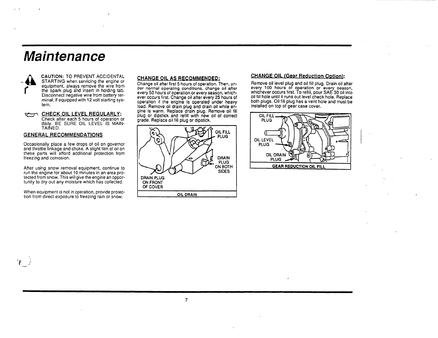## **Maintenance**



**CAUTION: TO PREVENT ACCIDENTAL** STARTING when servicing the engine or equipment, always remove the wire from the spark plug and insert in holding tab. Disconnect negative wire from battery terminal, if equipped with 12 volt starting system.

a- CHECK OIL LEVEL REGULARLY: Check after each 5 hours of operation or daily. BE SURE OIL LEVEL IS MAIN-TAINED.

#### **GENERAL RECOMMENDATIONS**

Occasionally place a few drops of oil on governor and throttle linkage and choke. A slight film of oil on these parts will afford additional protection from freezing and corrosion.

After using snow removal equipment, continue to run the engine for about 10 minutes in an area protected from snow. This will give the engine an opportunity to dry out any moisture which has collected.

When equipment is not in operation, provide protection from direct exposure to freezing rain or snow.

#### CHANGE OIL AS RECOMMENDED:

Change oil after first 5 hours of operation. Then, under normal operating conditions, change oil after every 50 hours of operation or every season, whichever bocurs first. Change oil after every 25 hours of<br>operation if the engine is operated under heavy<br>load. Remove oil drain plug and drain oil while engine is warm. Replace drain plug. Remove oil fill plug or dipstick and refill with new oil of correct grade. Replace oil fill plug or dipstick.



 $\overline{7}$ 

#### **CHANGE OIL (Gear Reduction Option):**

Remove oil level plug and oil fill plug. Drain oil after every 100 hours of operation or every season. whichever occurs first. To refill, pour SAE 30 oil into oil fill hole until it runs out level check hole. Replace both plugs. Oil fill plug has a vent hole and must be installed on top of gear case cover.

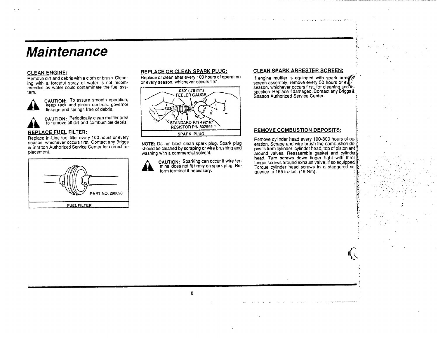## **Maintenance**

#### **CLEAN ENGINE:**

Remove dirt and debris with a cloth or brush. Cleaning with a forceful spray of water is not recommended as water could contaminate the fuel system.



CAUTION: To assure smooth operation,<br>keep rack and pinion controls, governor<br>linkage and springs free of debris.

CAUTION: Periodically clean muffler area<br>to remove all dirt and combustible debris.

#### REPLACE FUEL FILTER:

Replace In-Line fuel filter every 100 hours or every<br>season, whichever occurs first. Contact any Briggs & Stratton Authorized Service Center for correct replacement.



#### REPLACE OR CLEAN SPARK PLUG:

Replace or clean after every 100 hours of operation or every season, whichever occurs first.



NOTE: Do not blast clean spark plug. Spark plug should be cleaned by scraping or wire brushing and washing with a commercial solvent.

CAUTION: Sparking can occur if wire terminal does not fit firmly on spark plug. Reform terminal if necessary.

#### CLEAN SPARK ARRESTER SCREEN:

If engine muffler is equipped with spark arres screen assembly, remove every 50 hours or ev season, whichever occurs first, for cleaning and his spection. Replace if damaged. Contact any Briggs & Stratton Authorized Service Center.

#### **REMOVE COMBUSTION DEPOSITS:**

Remove cylinder head every 100-300 hours of operation. Scrape and wire brush the combustion deposits from cylinder, cylinder head, top of piston and around valves. Reassemble gasket and cylinder head. Turn screws down finger tight with three longer screws around exhaust valve, if so equipped Torque cylinder head screws in a staggered sequence to 165 in.-lbs. (19 Nm).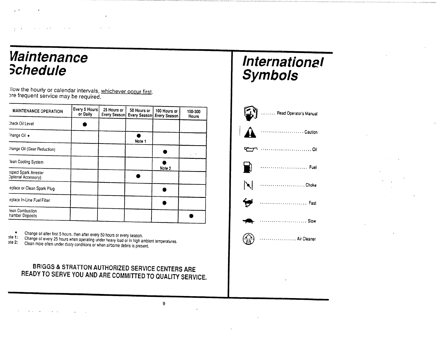## *Maintenance* **Schedule**

llow the hourly or calendar intervals, whichever occur first. pre frequent service may be required.

| <b>MAINTENANCE OPERATION</b>                        | Every 5 Hours<br>or Daily | 25 Hours or<br>Every Season | 50 Hours or<br>Every Season | 100 Hours or<br>Every Season | 100-300<br>Hours |
|-----------------------------------------------------|---------------------------|-----------------------------|-----------------------------|------------------------------|------------------|
| Check Oil Level                                     |                           |                             |                             |                              |                  |
| `hange Oil +                                        |                           |                             | Note 1                      |                              |                  |
| Change Oil (Gear Reduction)                         |                           |                             |                             |                              |                  |
| 'lean Cooling System                                |                           |                             |                             |                              |                  |
| <b>Ispect Spark Arrester</b><br>Optional Accessory) |                           |                             |                             | Note 2                       |                  |
| eplace or Clean Spark Plug                          |                           |                             |                             |                              |                  |
| eplace In-Line Fuel Filter                          |                           |                             |                             |                              |                  |
| lean Combustion<br>hamber Deposits                  |                           |                             |                             |                              |                  |

Change oil after first 5 hours, then after every 50 hours or every season.

Change oil every 25 hours when operating under heavy load or in high ambient temperatures.<br>Change oil every 25 hours when operating under heavy load or in high ambient temperatures.  $ite 1:$  $ote 2$ :

## BRIGGS & STRATTON AUTHORIZED SERVICE CENTERS ARE READY TO SERVE YOU AND ARE COMMITTED TO QUALITY SERVICE.

# International **Symbols**



 $\mathbf{9}$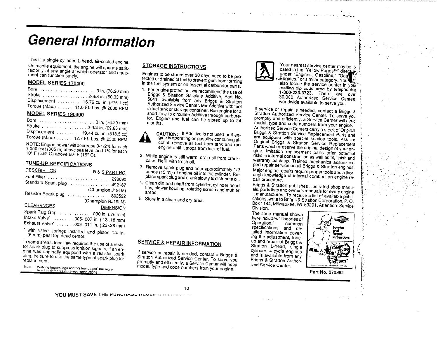# **General Information**

This is a single cylinder, L-head, air-cooled engine. On mobile equipment, the engine will operate satisfactorily at any angle at which operator and equipment can function safely.

### **MODEL SERIES 170400**

| Stroke 2-3/8 in. (60.33 mm)                                                     |  |
|---------------------------------------------------------------------------------|--|
|                                                                                 |  |
| Displacement  16.79 cu. in. (275.1 cc)<br>Torque (Max.) 11.0 Ft.-Lbs @ 2600 RPM |  |
|                                                                                 |  |

### **MODEL SERIES 190400**

| Displacement  19.44 cu. in. (318.5 cc)  |
|-----------------------------------------|
| Torque (Max.)  12.7 Ft.-Lbs. @ 2500 RPM |
|                                         |

NOTE: Engine power will decrease 3-1/2% for each 1.000 feet (305 m) above sea level and 1% for each 10° F (5.6° C) above 60° F (16° C).

### **TUNE-UP SPECIFICATIONS**

| <b>DESCRIPTION</b>                                                    | <b>B&amp;SPARTNO.</b> |
|-----------------------------------------------------------------------|-----------------------|
| Fuel Filter  298090                                                   |                       |
| Standard Spark plug  492167                                           |                       |
|                                                                       | (Champion J19LM)      |
| Resistor Spark plug  802592                                           |                       |
|                                                                       | (Champion RJ19LM)     |
| CLEARANCES                                                            | <b>DIMENSION</b>      |
| Spark Plug Gap 030 in. (.76 mm)                                       |                       |
| Intake Valve*  .005-.007 in. (.13-.18 mm)                             |                       |
| Exhaust Valve* 009-.011 in. (.23-.28 mm)                              |                       |
| $\mathbf{r}$ saith resolves a subset of $\mathbf{r}$ and $\mathbf{r}$ |                       |

with valve springs installed and piston 1/4 in. (6 mm) past top dead center.

In some areas, local law requires the use of a resistor spark plug to suppress ignition signals. If an engine was originally equipped with a resistor spark plug, be sure to use the same type of spark plug for replacement.

Walking fingers logo and "Yellow pages" are regis-<br>Tered trademarks in various jurisdictions. Note

### **STORAGE INSTRUCTIONS**

Engines to be stored over 30 days need to be protected or drained of fuel to prevent gum from forming in the fuel system or on essential carburetor parts.

1. For engine protection, we recommend the use of Briggs & Stratton Gasoline Additive, Part No. 5041, available from any Briggs & Stratton Authorized Service Center. Mix Additive with fuel in fuel tank or storage container. Run engine for a short time to circulate Additive through carburetor. Engine and fuel can be stored up to 24 months.

> CAUTION: If Additive is not used or if engine is operating on gasoline containing alcohol, remove all fuel from tank and run engine until it stops from lack of fuel.

- 2. While engine is still warm, drain oil from crankcase. Refill with fresh oil.
- 3. Remove spark plug and pour approximately 1/2 ounce (15 ml) of engine oil into the cylinder. Replace spark plug and crank slowly to distribute oil.
- 4. Clean dirt and chaff from cylinder, cylinder head fins, blower housing, rotating screen and muffler areas.
- 5. Store in a clean and dry area.

### **SERVICE & REPAIR INFORMATION**

If service or repair is needed, contact a Briggs & Stratton Authorized Service Center. To serve you promptly and efficiently, a Service Center will need model, type and code numbers from your engine.

 $10$ 



Your nearest service center may be lo cated in the "Yellow Pages" direct y under "Engines, Gasoline," "Gas MEngines," or similar category, You also locate the service center in your mailing zip code area by telephoning 1-800-233-3723. There are over 30,000 Authorized Service Centers worldwide available to serve you.

**Service State Construction** 

If service or repair is needed, contact a Briggs & Stratton Authorized Service Center. To serve you promptly and efficiently, a Service Center will need model, type and code numbers from your engine. Authorized Service Centers carry a stock of Original Briggs & Stratton Service Replacement Parts and are equipped with special service tools. Ask for Original Briggs & Stratton Service Replacement Parts which preserve the original design of your engine. Imitation replacement parts offer potential risks in internal construction as well as fit, finish and warranty back-up. Trained mechanics assure expert repair service on all Briggs & Stratton engines. Major engine repairs require proper tools and a thorough knowledge of internal combustion engine repair procedure.

Briggs & Stratton publishes illustrated shop manuals, parts lists and owner's manuals for every engine it manufactures. To receive a list of available publications, write to Briggs & Stratton Corporation, P.O. Box 1144, Milwaukee, WI 53201, Attention: Service Division.

The shop manual shown here includes "Theories of Operation." common specifications and detailed information covering the adjustment, tuneup and repair of Briggs & Stratton L-head, single cylinder, 4 cycle engines and is available from any Briggs & Stratton Authorized Service Center.



Part No. 270962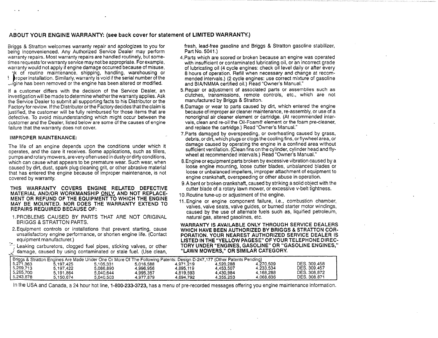#### ABOUT YOUR ENGINE WARRANTY: (see back cover for statement of LIMITED WARRANTY.)

Briggs & Stratton welcomes warranty repair and apologizes to you for being inconvenienced. Any Authorized Service Dealer may perform warranty repairs. Most warranty repairs are handled routinely, but sometimes requests for warranty service may not be appropriate. For example. warranty would not apply if engine damage occurred because of misuse,

tk of routine maintenance, shipping, handling, warehousing or to proper installation. Similarly, warranty is void if the serial number of the strigting has been removed or the engine has been altered or modified.

If a customer differs with the decision of the Service Dealer, an investigation will be made to determine whether the warranty applies. Ask the Service Dealer to submit all supporting facts to his Distributor or the Factory for review. If the Distributor or the Factory decides that the claim is justified, the customer will be fully reimbursed for those items that are defective. To avoid misunderstanding which might occur between the customer and the Dealer, listed below are some of the causes of engine failure that the warranty does not cover.

#### **IMPROPER MAINTENANCE:**

The life of an engine depends upon the conditions under which it operates, and the care it receives. Some applications, such as tillers, pumps and rotary mowers, are very often used in dusty or dirty conditions, which can cause what appears to be premature wear. Such wear, when caused by dirt, dust, spark plug cleaning grit, or other abrasive material that has entered the engine because of improper maintenance, is not covered by warranty.

THIS WARRANTY COVERS ENGINE RELATED DEFECTIVE MATERIAL AND/OR WORKMANSHIP ONLY, AND NOT REPLACE-MENT OR REFUND OF THE EQUIPMENT TO WHICH THE ENGINE MAY BE MOUNTED. NOR DOES THE WARRANTY EXTEND TO REPAIRS REQUIRED BECAUSE OF:

- 1. PROBLEMS CAUSED BY PARTS THAT ARE NOT ORIGINAL **BRIGGS & STRATTON PARTS.**
- 2. Equipment controls or installations that prevent starting, cause unsatisfactory engine performance, or shorten engine life. (Contact equipment manufacturer.)
- Leaking carburetors, clogged fuel pipes, sticking valves, or other damage, caused by using contaminated or stale fuel. (Use clean,

fresh, lead-free gasoline and Briggs & Stratton gasoline stabilizer, Part No. 5041.)

- 4. Parts which are scored or broken because an engine was operated with insufficient or contaminated lubricating oil, or an incorrect grade of lubricating oil (4 cycle engines: check oil level daily or after every 8 hours of operation. Refill when necessary and change at recommended intervals.) (2 cycle engines: use correct mixture of gasoline and BIA/NMMA certified oil.) Read "Owner's Manual."
- 5. Repair or adjustment of associated parts or assemblies such as clutches, transmissions, remote controls, etc., which are not manufactured by Briggs & Stratton.
- 6. Damage or wear to parts caused by dirt, which entered the engine because of improper air cleaner maintenance, re-assembly, or use of a nonoriginal air cleaner element or cartridge. (At recommended intervals, clean and re-oil the Oil-Foam® element or the foam pre-cleaner. and replace the cartridge.) Read "Owner's Manual."
- 7. Parts damaged by overspeeding, or overheating caused by grass, debris, or dirt, which plugs or clogs the cooling fins, or flywheel area, or damage caused by operating the engine in a confined area without sufficient ventilation. (Clean fins on the cylinder, cylinder head and flywheel at recommended intervals.) Read "Owner's Manual."
- 8. Engine or equipment parts broken by excessive vibration caused by a loose engine mounting, loose cutter blades, unbalanced blades or loose or unbalanced impellers, improper attachment of equipment to engine crankshaft, overspeeding or other abuse in operation.
- 9. A bent or broken crankshaft, caused by striking a solid object with the cutter blade of a rotary lawn mower, or excessive v-belt tightness.
- 10. Routine tune-up or adjustment of the engine.
- 11. Engine or engine component failure, i.e., combustion chamber, valves, valve seats, valve guides, or burned starter motor windings, caused by the use of alternate fuels such as, liquified petroleum, natural gas, altered gasolines, etc.

WARRANTY IS AVAILABLE ONLY THROUGH SERVICE DEALERS WHICH HAVE BEEN AUTHORIZED BY BRIGGS & STRATTON COR-PORATION. YOUR NEAREST AUTHORIZED SERVICE DEALER IS LISTED IN THE "YELLOW PAGESE" OF YOUR TELEPHONE DIREC-TORY UNDER "ENGINES, GASOLINE" OR "GASOLINE ENGINES," "LAWN MOWERS," OR SIMILAR CATEGORY.

|           | Briggs & Stratton Engines Are Made Under One Or More Of The Following Patents: Design D-247,177 (Other Patents Pending) |           |           |           |           |           |              |
|-----------|-------------------------------------------------------------------------------------------------------------------------|-----------|-----------|-----------|-----------|-----------|--------------|
| 5,271,363 | 5.197.425                                                                                                               | 5.105.331 | 5,016,588 | 4,971,219 | 4.520.288 | 4.270.509 | DES. 309.458 |
| 5,269,713 | 5.197.422                                                                                                               | 5.086.890 | 4.996.956 | 4.895.119 | 4.453.507 | 4.233.534 | DES. 309,457 |
| 5,265,700 | 5.191.864                                                                                                               | 5.040.644 | 4.995.357 | 4.819.593 | 4.430.984 | 4.168.288 | DES. 308.872 |
| 5.243,878 | 5.150.674                                                                                                               | 5.040.503 | 4.977.879 | 4.694.792 | 4.355.253 | 4.068.636 | DES. 308.871 |

In the USA and Canada, a 24 hour hot line, 1-800-233-3723, has a menu of pre-recorded messages offering you engine maintenance information.